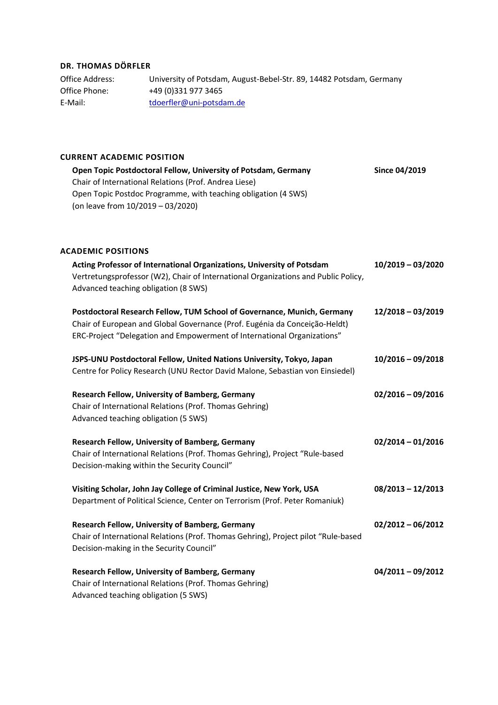# **DR. THOMAS DÖRFLER**

Office Address: University of Potsdam, August-Bebel-Str. 89, 14482 Potsdam, Germany Office Phone: +49 (0)331 977 3465 E-Mail: [tdoerfler@uni-potsdam.de](mailto:tdoerfler@uni-potsdam.de)

### **CURRENT ACADEMIC POSITION**

| Open Topic Postdoctoral Fellow, University of Potsdam, Germany<br>Chair of International Relations (Prof. Andrea Liese)<br>Open Topic Postdoc Programme, with teaching obligation (4 SWS)<br>(on leave from 10/2019 - 03/2020)   | Since 04/2019       |
|----------------------------------------------------------------------------------------------------------------------------------------------------------------------------------------------------------------------------------|---------------------|
| <b>ACADEMIC POSITIONS</b>                                                                                                                                                                                                        |                     |
| Acting Professor of International Organizations, University of Potsdam<br>Vertretungsprofessor (W2), Chair of International Organizations and Public Policy,<br>Advanced teaching obligation (8 SWS)                             | $10/2019 - 03/2020$ |
| Postdoctoral Research Fellow, TUM School of Governance, Munich, Germany<br>Chair of European and Global Governance (Prof. Eugénia da Conceição-Heldt)<br>ERC-Project "Delegation and Empowerment of International Organizations" | 12/2018 - 03/2019   |
| JSPS-UNU Postdoctoral Fellow, United Nations University, Tokyo, Japan<br>Centre for Policy Research (UNU Rector David Malone, Sebastian von Einsiedel)                                                                           | $10/2016 - 09/2018$ |
| Research Fellow, University of Bamberg, Germany<br>Chair of International Relations (Prof. Thomas Gehring)<br>Advanced teaching obligation (5 SWS)                                                                               | $02/2016 - 09/2016$ |
| Research Fellow, University of Bamberg, Germany<br>Chair of International Relations (Prof. Thomas Gehring), Project "Rule-based<br>Decision-making within the Security Council"                                                  | $02/2014 - 01/2016$ |
| Visiting Scholar, John Jay College of Criminal Justice, New York, USA<br>Department of Political Science, Center on Terrorism (Prof. Peter Romaniuk)                                                                             | $08/2013 - 12/2013$ |
| Research Fellow, University of Bamberg, Germany<br>Chair of International Relations (Prof. Thomas Gehring), Project pilot "Rule-based<br>Decision-making in the Security Council"                                                | $02/2012 - 06/2012$ |
| Research Fellow, University of Bamberg, Germany<br>Chair of International Relations (Prof. Thomas Gehring)<br>Advanced teaching obligation (5 SWS)                                                                               | $04/2011 - 09/2012$ |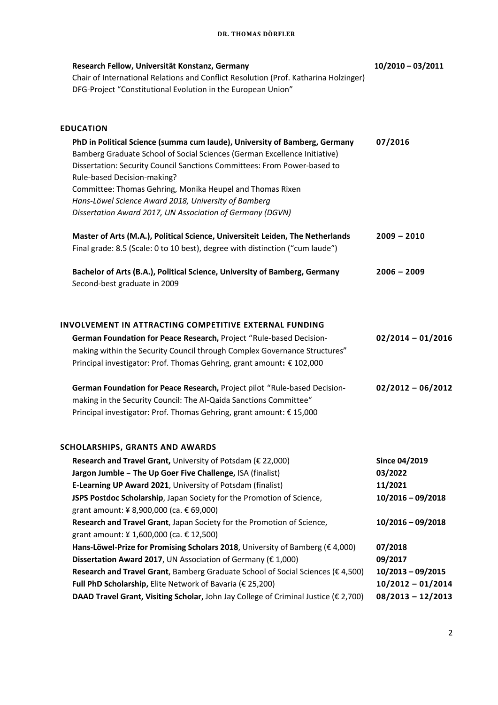## **DR. THOMAS DÖRFLER**

| Research Fellow, Universität Konstanz, Germany<br>Chair of International Relations and Conflict Resolution (Prof. Katharina Holzinger)<br>DFG-Project "Constitutional Evolution in the European Union"                                                                                                                                                                                  | $10/2010 - 03/2011$                        |
|-----------------------------------------------------------------------------------------------------------------------------------------------------------------------------------------------------------------------------------------------------------------------------------------------------------------------------------------------------------------------------------------|--------------------------------------------|
| <b>EDUCATION</b>                                                                                                                                                                                                                                                                                                                                                                        |                                            |
| PhD in Political Science (summa cum laude), University of Bamberg, Germany<br>Bamberg Graduate School of Social Sciences (German Excellence Initiative)<br>Dissertation: Security Council Sanctions Committees: From Power-based to<br>Rule-based Decision-making?<br>Committee: Thomas Gehring, Monika Heupel and Thomas Rixen<br>Hans-Löwel Science Award 2018, University of Bamberg | 07/2016                                    |
| Dissertation Award 2017, UN Association of Germany (DGVN)                                                                                                                                                                                                                                                                                                                               |                                            |
| Master of Arts (M.A.), Political Science, Universiteit Leiden, The Netherlands<br>Final grade: 8.5 (Scale: 0 to 10 best), degree with distinction ("cum laude")                                                                                                                                                                                                                         | $2009 - 2010$                              |
| Bachelor of Arts (B.A.), Political Science, University of Bamberg, Germany<br>Second-best graduate in 2009                                                                                                                                                                                                                                                                              | $2006 - 2009$                              |
| INVOLVEMENT IN ATTRACTING COMPETITIVE EXTERNAL FUNDING                                                                                                                                                                                                                                                                                                                                  |                                            |
| German Foundation for Peace Research, Project "Rule-based Decision-<br>making within the Security Council through Complex Governance Structures"<br>Principal investigator: Prof. Thomas Gehring, grant amount: € 102,000                                                                                                                                                               | $02/2014 - 01/2016$                        |
| German Foundation for Peace Research, Project pilot "Rule-based Decision-<br>making in the Security Council: The Al-Qaida Sanctions Committee"<br>Principal investigator: Prof. Thomas Gehring, grant amount: € 15,000                                                                                                                                                                  | $02/2012 - 06/2012$                        |
| <b>SCHOLARSHIPS, GRANTS AND AWARDS</b>                                                                                                                                                                                                                                                                                                                                                  |                                            |
| Research and Travel Grant, University of Potsdam ( $\epsilon$ 22,000)                                                                                                                                                                                                                                                                                                                   | Since 04/2019                              |
| Jargon Jumble - The Up Goer Five Challenge, ISA (finalist)                                                                                                                                                                                                                                                                                                                              | 03/2022                                    |
| E-Learning UP Award 2021, University of Potsdam (finalist)                                                                                                                                                                                                                                                                                                                              | 11/2021                                    |
| JSPS Postdoc Scholarship, Japan Society for the Promotion of Science,                                                                                                                                                                                                                                                                                                                   | $10/2016 - 09/2018$                        |
| grant amount: ¥ 8,900,000 (ca. € 69,000)                                                                                                                                                                                                                                                                                                                                                |                                            |
| Research and Travel Grant, Japan Society for the Promotion of Science,                                                                                                                                                                                                                                                                                                                  | $10/2016 - 09/2018$                        |
| grant amount: ¥ 1,600,000 (ca. € 12,500)                                                                                                                                                                                                                                                                                                                                                |                                            |
| Hans-Löwel-Prize for Promising Scholars 2018, University of Bamberg (€ 4,000)                                                                                                                                                                                                                                                                                                           | 07/2018                                    |
| Dissertation Award 2017, UN Association of Germany ( $\epsilon$ 1,000)                                                                                                                                                                                                                                                                                                                  | 09/2017                                    |
| Research and Travel Grant, Bamberg Graduate School of Social Sciences (€ 4,500)<br>Full PhD Scholarship, Elite Network of Bavaria (€ 25,200)                                                                                                                                                                                                                                            | $10/2013 - 09/2015$<br>$10/2012 - 01/2014$ |
| DAAD Travel Grant, Visiting Scholar, John Jay College of Criminal Justice ( $\epsilon$ 2,700)                                                                                                                                                                                                                                                                                           | $08/2013 - 12/2013$                        |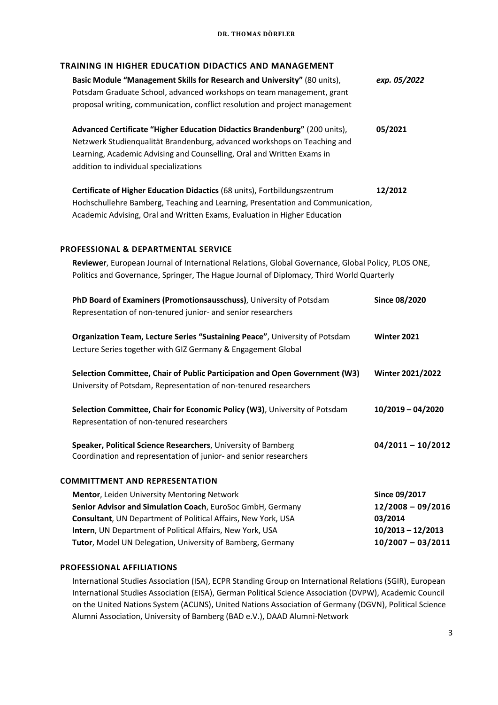# **TRAINING IN HIGHER EDUCATION DIDACTICS AND MANAGEMENT**

|                                                                                                    | INAINING IN MOMEN EDOCATION DIDACTICS AND MANAGEMENT<br>Basic Module "Management Skills for Research and University" (80 units), | exp. 05/2022            |
|----------------------------------------------------------------------------------------------------|----------------------------------------------------------------------------------------------------------------------------------|-------------------------|
|                                                                                                    | Potsdam Graduate School, advanced workshops on team management, grant                                                            |                         |
|                                                                                                    | proposal writing, communication, conflict resolution and project management                                                      |                         |
|                                                                                                    |                                                                                                                                  |                         |
|                                                                                                    | Advanced Certificate "Higher Education Didactics Brandenburg" (200 units),                                                       | 05/2021                 |
|                                                                                                    | Netzwerk Studienqualität Brandenburg, advanced workshops on Teaching and                                                         |                         |
|                                                                                                    | Learning, Academic Advising and Counselling, Oral and Written Exams in                                                           |                         |
|                                                                                                    | addition to individual specializations                                                                                           |                         |
|                                                                                                    | Certificate of Higher Education Didactics (68 units), Fortbildungszentrum                                                        | 12/2012                 |
|                                                                                                    | Hochschullehre Bamberg, Teaching and Learning, Presentation and Communication,                                                   |                         |
|                                                                                                    | Academic Advising, Oral and Written Exams, Evaluation in Higher Education                                                        |                         |
|                                                                                                    |                                                                                                                                  |                         |
|                                                                                                    | PROFESSIONAL & DEPARTMENTAL SERVICE                                                                                              |                         |
| Reviewer, European Journal of International Relations, Global Governance, Global Policy, PLOS ONE, |                                                                                                                                  |                         |
|                                                                                                    | Politics and Governance, Springer, The Hague Journal of Diplomacy, Third World Quarterly                                         |                         |
|                                                                                                    | PhD Board of Examiners (Promotionsausschuss), University of Potsdam                                                              | <b>Since 08/2020</b>    |
|                                                                                                    | Representation of non-tenured junior- and senior researchers                                                                     |                         |
|                                                                                                    | Organization Team, Lecture Series "Sustaining Peace", University of Potsdam                                                      | Winter 2021             |
|                                                                                                    | Lecture Series together with GIZ Germany & Engagement Global                                                                     |                         |
|                                                                                                    | Selection Committee, Chair of Public Participation and Open Government (W3)                                                      | <b>Winter 2021/2022</b> |
|                                                                                                    | University of Potsdam, Representation of non-tenured researchers                                                                 |                         |
|                                                                                                    |                                                                                                                                  |                         |
|                                                                                                    | Selection Committee, Chair for Economic Policy (W3), University of Potsdam                                                       | $10/2019 - 04/2020$     |
|                                                                                                    | Representation of non-tenured researchers                                                                                        |                         |
|                                                                                                    | Speaker, Political Science Researchers, University of Bamberg                                                                    | $04/2011 - 10/2012$     |
|                                                                                                    | Coordination and representation of junior- and senior researchers                                                                |                         |
|                                                                                                    | <b>COMMITTMENT AND REPRESENTATION</b>                                                                                            |                         |
|                                                                                                    | Mentor, Leiden University Mentoring Network                                                                                      | Since 09/2017           |
|                                                                                                    | Senior Advisor and Simulation Coach, EuroSoc GmbH, Germany                                                                       | $12/2008 - 09/2016$     |
|                                                                                                    | Consultant, UN Department of Political Affairs, New York, USA                                                                    | 03/2014                 |
|                                                                                                    | Intern, UN Department of Political Affairs, New York, USA                                                                        | $10/2013 - 12/2013$     |

#### **PROFESSIONAL AFFILIATIONS**

International Studies Association (ISA), ECPR Standing Group on International Relations (SGIR), European International Studies Association (EISA), German Political Science Association (DVPW), Academic Council on the United Nations System (ACUNS), United Nations Association of Germany (DGVN), Political Science Alumni Association, University of Bamberg (BAD e.V.), DAAD Alumni-Network

**Tutor**, Model UN Delegation, University of Bamberg, Germany **10/2007 – 03/2011**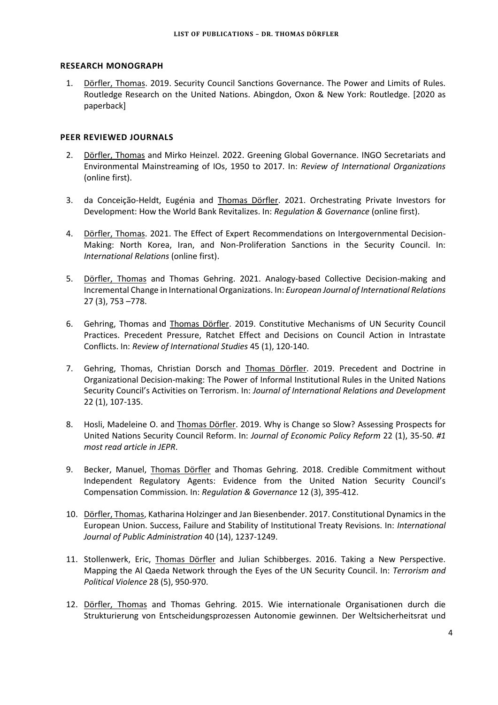#### **RESEARCH MONOGRAPH**

1. Dörfler, Thomas. 2019. Security Council Sanctions Governance. The Power and Limits of Rules. Routledge Research on the United Nations. Abingdon, Oxon & New York: Routledge. [2020 as paperback]

### **PEER REVIEWED JOURNALS**

- 2. Dörfler, Thomas and Mirko Heinzel. 2022. Greening Global Governance. INGO Secretariats and Environmental Mainstreaming of IOs, 1950 to 2017. In: *Review of International Organizations*  (online first).
- 3. da Conceição-Heldt, Eugénia and Thomas Dörfler. 2021. Orchestrating Private Investors for Development: How the World Bank Revitalizes. In: *Regulation & Governance* (online first).
- 4. Dörfler, Thomas. 2021. The Effect of Expert Recommendations on Intergovernmental Decision-Making: North Korea, Iran, and Non-Proliferation Sanctions in the Security Council. In: *International Relations* (online first).
- 5. Dörfler, Thomas and Thomas Gehring. 2021. Analogy-based Collective Decision-making and Incremental Change in International Organizations. In: *European Journal of International Relations* 27 (3), 753 –778.
- 6. Gehring, Thomas and Thomas Dörfler. 2019. Constitutive Mechanisms of UN Security Council Practices. Precedent Pressure, Ratchet Effect and Decisions on Council Action in Intrastate Conflicts. In: *Review of International Studies* 45 (1), 120-140.
- 7. Gehring, Thomas, Christian Dorsch and Thomas Dörfler. 2019. Precedent and Doctrine in Organizational Decision-making: The Power of Informal Institutional Rules in the United Nations Security Council's Activities on Terrorism. In: *Journal of International Relations and Development* 22 (1), 107-135.
- 8. Hosli, Madeleine O. and Thomas Dörfler. 2019. Why is Change so Slow? Assessing Prospects for United Nations Security Council Reform. In: *Journal of Economic Policy Reform* 22 (1), 35-50. *#1 most read article in JEPR*.
- 9. Becker, Manuel, Thomas Dörfler and Thomas Gehring. 2018. Credible Commitment without Independent Regulatory Agents: Evidence from the United Nation Security Council's Compensation Commission. In: *Regulation & Governance* 12 (3), 395-412.
- 10. Dörfler, Thomas, Katharina Holzinger and Jan Biesenbender. 2017. Constitutional Dynamics in the European Union. Success, Failure and Stability of Institutional Treaty Revisions. In: *International Journal of Public Administration* 40 (14), 1237-1249.
- 11. Stollenwerk, Eric, Thomas Dörfler and Julian Schibberges. 2016. Taking a New Perspective. Mapping the Al Qaeda Network through the Eyes of the UN Security Council. In: *Terrorism and Political Violence* 28 (5), 950-970.
- 12. Dörfler, Thomas and Thomas Gehring. 2015. Wie internationale Organisationen durch die Strukturierung von Entscheidungsprozessen Autonomie gewinnen. Der Weltsicherheitsrat und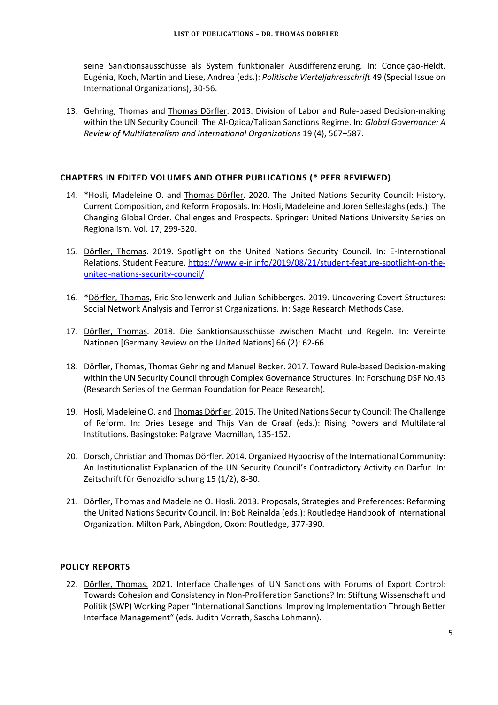seine Sanktionsausschüsse als System funktionaler Ausdifferenzierung. In: Conceição-Heldt, Eugénia, Koch, Martin and Liese, Andrea (eds.): *Politische Vierteljahresschrift* 49 (Special Issue on International Organizations), 30-56.

13. Gehring, Thomas and Thomas Dörfler. 2013. Division of Labor and Rule-based Decision-making within the UN Security Council: The Al-Qaida/Taliban Sanctions Regime. In: *Global Governance: A Review of Multilateralism and International Organizations* 19 (4), 567–587.

### **CHAPTERS IN EDITED VOLUMES AND OTHER PUBLICATIONS (\* PEER REVIEWED)**

- 14. \*Hosli, Madeleine O. and **Thomas Dörfler. 2020. The United Nations Security Council: History**, Current Composition, and Reform Proposals. In: Hosli, Madeleine and Joren Selleslaghs (eds.): The Changing Global Order. Challenges and Prospects. Springer: United Nations University Series on Regionalism, Vol. 17, 299-320.
- 15. Dörfler, Thomas. 2019. Spotlight on the United Nations Security Council. In: E-International Relations. Student Feature. [https://www.e-ir.info/2019/08/21/student-feature-spotlight-on-the](https://www.e-ir.info/2019/08/21/student-feature-spotlight-on-the-united-nations-security-council/)[united-nations-security-council/](https://www.e-ir.info/2019/08/21/student-feature-spotlight-on-the-united-nations-security-council/)
- 16. \* Dörfler, Thomas, Eric Stollenwerk and Julian Schibberges. 2019. Uncovering Covert Structures: Social Network Analysis and Terrorist Organizations. In: Sage Research Methods Case.
- 17. Dörfler, Thomas. 2018. Die Sanktionsausschüsse zwischen Macht und Regeln. In: Vereinte Nationen [Germany Review on the United Nations] 66 (2): 62-66.
- 18. Dörfler, Thomas, Thomas Gehring and Manuel Becker. 2017. Toward Rule-based Decision-making within the UN Security Council through Complex Governance Structures. In: Forschung DSF No.43 (Research Series of the German Foundation for Peace Research).
- 19. Hosli, Madeleine O. and Thomas Dörfler. 2015. The United Nations Security Council: The Challenge of Reform. In: Dries Lesage and Thijs Van de Graaf (eds.): Rising Powers and Multilateral Institutions. Basingstoke: Palgrave Macmillan, 135-152.
- 20. Dorsch, Christian and Thomas Dörfler. 2014. Organized Hypocrisy of the International Community: An Institutionalist Explanation of the UN Security Council's Contradictory Activity on Darfur. In: Zeitschrift für Genozidforschung 15 (1/2), 8-30.
- 21. Dörfler, Thomas and Madeleine O. Hosli. 2013. Proposals, Strategies and Preferences: Reforming the United Nations Security Council. In: Bob Reinalda (eds.): Routledge Handbook of International Organization. Milton Park, Abingdon, Oxon: Routledge, 377-390.

### **POLICY REPORTS**

22. Dörfler, Thomas. 2021. Interface Challenges of UN Sanctions with Forums of Export Control: Towards Cohesion and Consistency in Non-Proliferation Sanctions? In: Stiftung Wissenschaft und Politik (SWP) Working Paper "International Sanctions: Improving Implementation Through Better Interface Management" (eds. Judith Vorrath, Sascha Lohmann).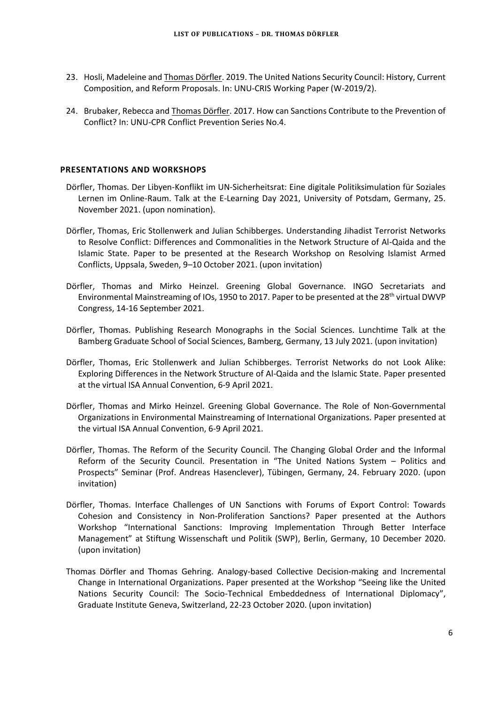- 23. Hosli, Madeleine and Thomas Dörfler. 2019. The United Nations Security Council: History, Current Composition, and Reform Proposals. In: UNU-CRIS Working Paper (W-2019/2).
- 24. Brubaker, Rebecca and Thomas Dörfler. 2017. How can Sanctions Contribute to the Prevention of Conflict? In: UNU-CPR Conflict Prevention Series No.4.

### **PRESENTATIONS AND WORKSHOPS**

- Dörfler, Thomas. Der Libyen-Konflikt im UN-Sicherheitsrat: Eine digitale Politiksimulation für Soziales Lernen im Online-Raum. Talk at the E-Learning Day 2021, University of Potsdam, Germany, 25. November 2021. (upon nomination).
- Dörfler, Thomas, Eric Stollenwerk and Julian Schibberges. Understanding Jihadist Terrorist Networks to Resolve Conflict: Differences and Commonalities in the Network Structure of Al-Qaida and the Islamic State. Paper to be presented at the Research Workshop on Resolving Islamist Armed Conflicts, Uppsala, Sweden, 9–10 October 2021. (upon invitation)
- Dörfler, Thomas and Mirko Heinzel. Greening Global Governance. INGO Secretariats and Environmental Mainstreaming of IOs, 1950 to 2017. Paper to be presented at the 28<sup>th</sup> virtual DWVP Congress, 14-16 September 2021.
- Dörfler, Thomas. Publishing Research Monographs in the Social Sciences. Lunchtime Talk at the Bamberg Graduate School of Social Sciences, Bamberg, Germany, 13 July 2021. (upon invitation)
- Dörfler, Thomas, Eric Stollenwerk and Julian Schibberges. Terrorist Networks do not Look Alike: Exploring Differences in the Network Structure of Al-Qaida and the Islamic State. Paper presented at the virtual ISA Annual Convention, 6-9 April 2021.
- Dörfler, Thomas and Mirko Heinzel. Greening Global Governance. The Role of Non-Governmental Organizations in Environmental Mainstreaming of International Organizations. Paper presented at the virtual ISA Annual Convention, 6-9 April 2021.
- Dörfler, Thomas. The Reform of the Security Council. The Changing Global Order and the Informal Reform of the Security Council. Presentation in "The United Nations System – Politics and Prospects" Seminar (Prof. Andreas Hasenclever), Tübingen, Germany, 24. February 2020. (upon invitation)
- Dörfler, Thomas. Interface Challenges of UN Sanctions with Forums of Export Control: Towards Cohesion and Consistency in Non-Proliferation Sanctions? Paper presented at the Authors Workshop "International Sanctions: Improving Implementation Through Better Interface Management" at Stiftung Wissenschaft und Politik (SWP), Berlin, Germany, 10 December 2020. (upon invitation)
- Thomas Dörfler and Thomas Gehring. Analogy-based Collective Decision-making and Incremental Change in International Organizations. Paper presented at the Workshop "Seeing like the United Nations Security Council: The Socio-Technical Embeddedness of International Diplomacy", Graduate Institute Geneva, Switzerland, 22-23 October 2020. (upon invitation)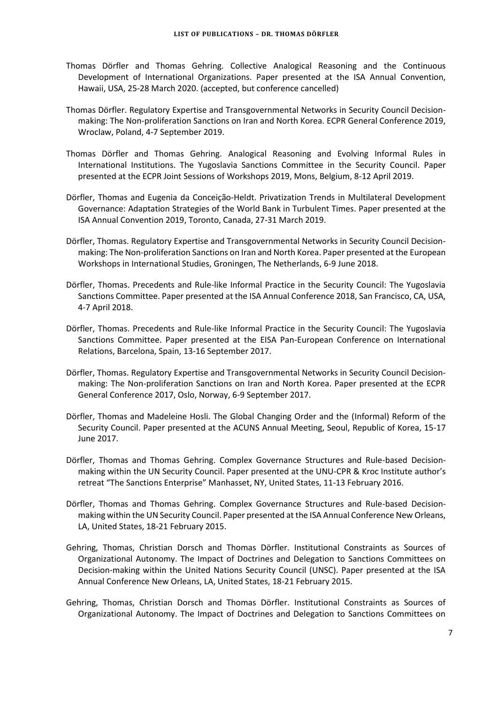- Thomas Dörfler and Thomas Gehring. Collective Analogical Reasoning and the Continuous Development of International Organizations. Paper presented at the ISA Annual Convention, Hawaii, USA, 25-28 March 2020. (accepted, but conference cancelled)
- Thomas Dörfler. Regulatory Expertise and Transgovernmental Networks in Security Council Decisionmaking: The Non-proliferation Sanctions on Iran and North Korea. ECPR General Conference 2019, Wroclaw, Poland, 4-7 September 2019.
- Thomas Dörfler and Thomas Gehring. Analogical Reasoning and Evolving Informal Rules in International Institutions. The Yugoslavia Sanctions Committee in the Security Council. Paper presented at the ECPR Joint Sessions of Workshops 2019, Mons, Belgium, 8-12 April 2019.
- Dörfler, Thomas and Eugenia da Conceição-Heldt. Privatization Trends in Multilateral Development Governance: Adaptation Strategies of the World Bank in Turbulent Times. Paper presented at the ISA Annual Convention 2019, Toronto, Canada, 27-31 March 2019.
- Dörfler, Thomas. Regulatory Expertise and Transgovernmental Networks in Security Council Decisionmaking: The Non-proliferation Sanctions on Iran and North Korea. Paper presented at the European Workshops in International Studies, Groningen, The Netherlands, 6-9 June 2018.
- Dörfler, Thomas. Precedents and Rule-like Informal Practice in the Security Council: The Yugoslavia Sanctions Committee. Paper presented at the ISA Annual Conference 2018, San Francisco, CA, USA, 4-7 April 2018.
- Dörfler, Thomas. Precedents and Rule-like Informal Practice in the Security Council: The Yugoslavia Sanctions Committee. Paper presented at the EISA Pan-European Conference on International Relations, Barcelona, Spain, 13-16 September 2017.
- Dörfler, Thomas. Regulatory Expertise and Transgovernmental Networks in Security Council Decisionmaking: The Non-proliferation Sanctions on Iran and North Korea. Paper presented at the ECPR General Conference 2017, Oslo, Norway, 6-9 September 2017.
- Dörfler, Thomas and Madeleine Hosli. The Global Changing Order and the (Informal) Reform of the Security Council. Paper presented at the ACUNS Annual Meeting, Seoul, Republic of Korea, 15-17 June 2017.
- Dörfler, Thomas and Thomas Gehring. Complex Governance Structures and Rule-based Decisionmaking within the UN Security Council. Paper presented at the UNU-CPR & Kroc Institute author's retreat "The Sanctions Enterprise" Manhasset, NY, United States, 11-13 February 2016.
- Dörfler, Thomas and Thomas Gehring. Complex Governance Structures and Rule-based Decisionmaking within the UN Security Council. Paper presented at the ISA Annual Conference New Orleans, LA, United States, 18-21 February 2015.
- Gehring, Thomas, Christian Dorsch and Thomas Dörfler. Institutional Constraints as Sources of Organizational Autonomy. The Impact of Doctrines and Delegation to Sanctions Committees on Decision-making within the United Nations Security Council (UNSC). Paper presented at the ISA Annual Conference New Orleans, LA, United States, 18-21 February 2015.
- Gehring, Thomas, Christian Dorsch and Thomas Dörfler. Institutional Constraints as Sources of Organizational Autonomy. The Impact of Doctrines and Delegation to Sanctions Committees on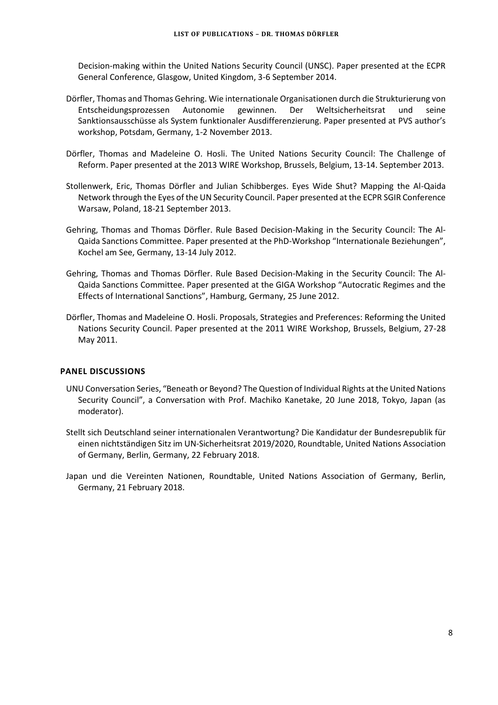Decision-making within the United Nations Security Council (UNSC). Paper presented at the ECPR General Conference, Glasgow, United Kingdom, 3-6 September 2014.

- Dörfler, Thomas and Thomas Gehring. Wie internationale Organisationen durch die Strukturierung von Entscheidungsprozessen Autonomie gewinnen. Der Weltsicherheitsrat und seine Sanktionsausschüsse als System funktionaler Ausdifferenzierung. Paper presented at PVS author's workshop, Potsdam, Germany, 1-2 November 2013.
- Dörfler, Thomas and Madeleine O. Hosli. The United Nations Security Council: The Challenge of Reform. Paper presented at the 2013 WIRE Workshop, Brussels, Belgium, 13-14. September 2013.
- Stollenwerk, Eric, Thomas Dörfler and Julian Schibberges. Eyes Wide Shut? Mapping the Al-Qaida Network through the Eyes of the UN Security Council. Paper presented at the ECPR SGIR Conference Warsaw, Poland, 18-21 September 2013.
- Gehring, Thomas and Thomas Dörfler. Rule Based Decision-Making in the Security Council: The Al-Qaida Sanctions Committee. Paper presented at the PhD-Workshop "Internationale Beziehungen", Kochel am See, Germany, 13-14 July 2012.
- Gehring, Thomas and Thomas Dörfler. Rule Based Decision-Making in the Security Council: The Al-Qaida Sanctions Committee. Paper presented at the GIGA Workshop "Autocratic Regimes and the Effects of International Sanctions", Hamburg, Germany, 25 June 2012.
- Dörfler, Thomas and Madeleine O. Hosli. Proposals, Strategies and Preferences: Reforming the United Nations Security Council. Paper presented at the 2011 WIRE Workshop, Brussels, Belgium, 27-28 May 2011.

#### **PANEL DISCUSSIONS**

- UNU Conversation Series, "Beneath or Beyond? The Question of Individual Rights at the United Nations Security Council", a Conversation with Prof. Machiko Kanetake, 20 June 2018, Tokyo, Japan (as moderator).
- Stellt sich Deutschland seiner internationalen Verantwortung? Die Kandidatur der Bundesrepublik für einen nichtständigen Sitz im UN-Sicherheitsrat 2019/2020, Roundtable, United Nations Association of Germany, Berlin, Germany, 22 February 2018.
- Japan und die Vereinten Nationen, Roundtable, United Nations Association of Germany, Berlin, Germany, 21 February 2018.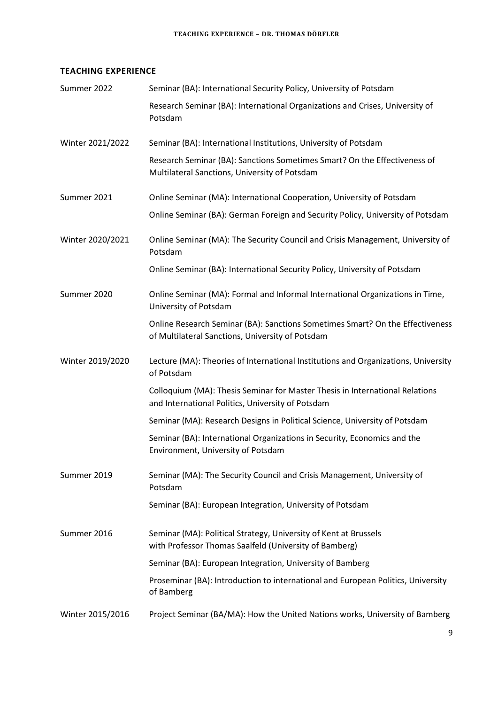# **TEACHING EXPERIENCE**

| Summer 2022      | Seminar (BA): International Security Policy, University of Potsdam                                                                |
|------------------|-----------------------------------------------------------------------------------------------------------------------------------|
|                  | Research Seminar (BA): International Organizations and Crises, University of<br>Potsdam                                           |
| Winter 2021/2022 | Seminar (BA): International Institutions, University of Potsdam                                                                   |
|                  | Research Seminar (BA): Sanctions Sometimes Smart? On the Effectiveness of<br>Multilateral Sanctions, University of Potsdam        |
| Summer 2021      | Online Seminar (MA): International Cooperation, University of Potsdam                                                             |
|                  | Online Seminar (BA): German Foreign and Security Policy, University of Potsdam                                                    |
| Winter 2020/2021 | Online Seminar (MA): The Security Council and Crisis Management, University of<br>Potsdam                                         |
|                  | Online Seminar (BA): International Security Policy, University of Potsdam                                                         |
| Summer 2020      | Online Seminar (MA): Formal and Informal International Organizations in Time,<br>University of Potsdam                            |
|                  | Online Research Seminar (BA): Sanctions Sometimes Smart? On the Effectiveness<br>of Multilateral Sanctions, University of Potsdam |
| Winter 2019/2020 | Lecture (MA): Theories of International Institutions and Organizations, University<br>of Potsdam                                  |
|                  | Colloquium (MA): Thesis Seminar for Master Thesis in International Relations<br>and International Politics, University of Potsdam |
|                  | Seminar (MA): Research Designs in Political Science, University of Potsdam                                                        |
|                  | Seminar (BA): International Organizations in Security, Economics and the<br>Environment, University of Potsdam                    |
| Summer 2019      | Seminar (MA): The Security Council and Crisis Management, University of<br>Potsdam                                                |
|                  | Seminar (BA): European Integration, University of Potsdam                                                                         |
| Summer 2016      | Seminar (MA): Political Strategy, University of Kent at Brussels<br>with Professor Thomas Saalfeld (University of Bamberg)        |
|                  | Seminar (BA): European Integration, University of Bamberg                                                                         |
|                  | Proseminar (BA): Introduction to international and European Politics, University<br>of Bamberg                                    |
| Winter 2015/2016 | Project Seminar (BA/MA): How the United Nations works, University of Bamberg                                                      |